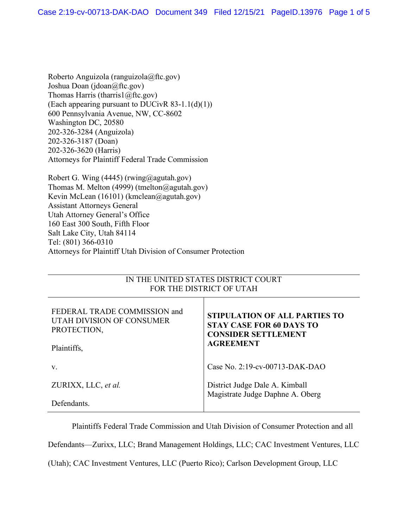Roberto Anguizola (ranguizola@ftc.gov) Joshua Doan (jdoan@ftc.gov) Thomas Harris (tharris1@ftc.gov) (Each appearing pursuant to DUCivR  $83-1.1(d)(1)$ ) 600 Pennsylvania Avenue, NW, CC-8602 Washington DC, 20580 202-326-3284 (Anguizola) 202-326-3187 (Doan) 202-326-3620 (Harris) Attorneys for Plaintiff Federal Trade Commission

Robert G. Wing (4445) (rwing@agutah.gov) Thomas M. Melton (4999) (tmelton@agutah.gov) Kevin McLean (16101) (kmclean@agutah.gov) Assistant Attorneys General Utah Attorney General's Office 160 East 300 South, Fifth Floor Salt Lake City, Utah 84114 Tel: (801) 366-0310 Attorneys for Plaintiff Utah Division of Consumer Protection

## IN THE UNITED STATES DISTRICT COURT FOR THE DISTRICT OF UTAH

| FEDERAL TRADE COMMISSION and<br>UTAH DIVISION OF CONSUMER<br>PROTECTION,<br>Plaintiffs, | <b>STIPULATION OF ALL PARTIES TO</b><br><b>STAY CASE FOR 60 DAYS TO</b><br><b>CONSIDER SETTLEMENT</b><br><b>AGREEMENT</b> |
|-----------------------------------------------------------------------------------------|---------------------------------------------------------------------------------------------------------------------------|
| V.                                                                                      | Case No. 2:19-cv-00713-DAK-DAO                                                                                            |
| ZURIXX, LLC, et al.                                                                     | District Judge Dale A. Kimball<br>Magistrate Judge Daphne A. Oberg                                                        |
| Defendants.                                                                             |                                                                                                                           |

Plaintiffs Federal Trade Commission and Utah Division of Consumer Protection and all

Defendants—Zurixx, LLC; Brand Management Holdings, LLC; CAC Investment Ventures, LLC

(Utah); CAC Investment Ventures, LLC (Puerto Rico); Carlson Development Group, LLC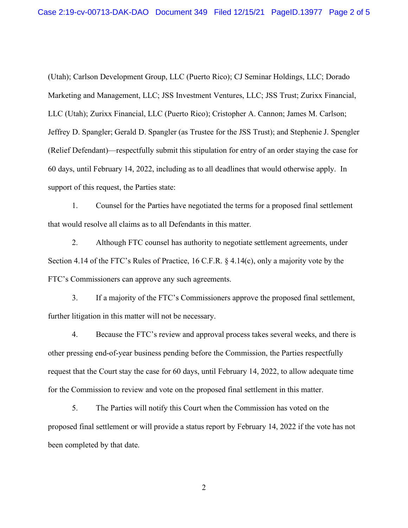(Utah); Carlson Development Group, LLC (Puerto Rico); CJ Seminar Holdings, LLC; Dorado Marketing and Management, LLC; JSS Investment Ventures, LLC; JSS Trust; Zurixx Financial, LLC (Utah); Zurixx Financial, LLC (Puerto Rico); Cristopher A. Cannon; James M. Carlson; Jeffrey D. Spangler; Gerald D. Spangler (as Trustee for the JSS Trust); and Stephenie J. Spengler (Relief Defendant)—respectfully submit this stipulation for entry of an order staying the case for 60 days, until February 14, 2022, including as to all deadlines that would otherwise apply. In support of this request, the Parties state:

1. Counsel for the Parties have negotiated the terms for a proposed final settlement that would resolve all claims as to all Defendants in this matter.

2. Although FTC counsel has authority to negotiate settlement agreements, under Section 4.14 of the FTC's Rules of Practice, 16 C.F.R. § 4.14(c), only a majority vote by the FTC's Commissioners can approve any such agreements.

3. If a majority of the FTC's Commissioners approve the proposed final settlement, further litigation in this matter will not be necessary.

4. Because the FTC's review and approval process takes several weeks, and there is other pressing end-of-year business pending before the Commission, the Parties respectfully request that the Court stay the case for 60 days, until February 14, 2022, to allow adequate time for the Commission to review and vote on the proposed final settlement in this matter.

5. The Parties will notify this Court when the Commission has voted on the proposed final settlement or will provide a status report by February 14, 2022 if the vote has not been completed by that date.

2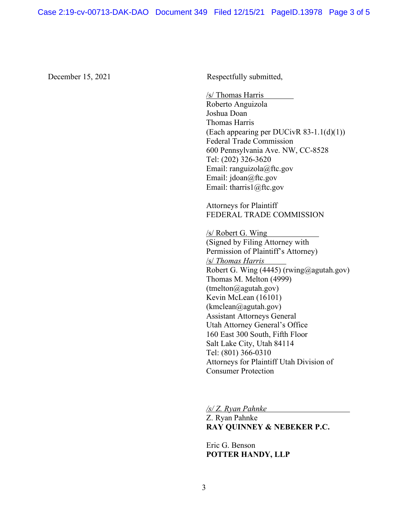December 15, 2021 Respectfully submitted,

/s/ Thomas Harris Roberto Anguizola Joshua Doan Thomas Harris (Each appearing per DUCivR 83-1.1(d)(1)) Federal Trade Commission 600 Pennsylvania Ave. NW, CC-8528 Tel: (202) 326-3620 Email: ranguizola@ftc.gov Email: jdoan@ftc.gov Email: tharris1@ftc.gov

Attorneys for Plaintiff FEDERAL TRADE COMMISSION

/s/ Robert G. Wing (Signed by Filing Attorney with Permission of Plaintiff's Attorney) /s/ *Thomas Harris* Robert G. Wing (4445) (rwing@agutah.gov) Thomas M. Melton (4999) (tmelton@agutah.gov) Kevin McLean (16101) (kmclean@agutah.gov) Assistant Attorneys General Utah Attorney General's Office 160 East 300 South, Fifth Floor Salt Lake City, Utah 84114 Tel: (801) 366-0310 Attorneys for Plaintiff Utah Division of Consumer Protection

*/s/ Z. Ryan Pahnke*

Z. Ryan Pahnke **RAY QUINNEY & NEBEKER P.C.**

Eric G. Benson **POTTER HANDY, LLP**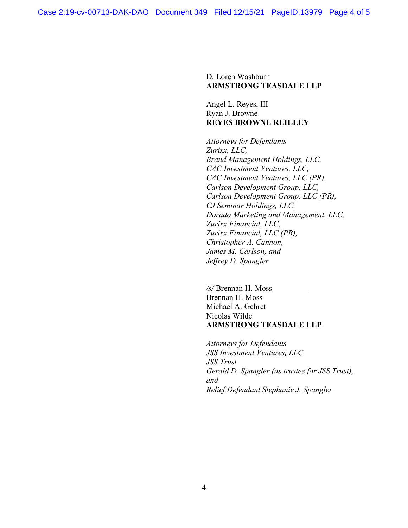D. Loren Washburn **ARMSTRONG TEASDALE LLP**

Angel L. Reyes, III Ryan J. Browne **REYES BROWNE REILLEY**

*Attorneys for Defendants Zurixx, LLC, Brand Management Holdings, LLC, CAC Investment Ventures, LLC, CAC Investment Ventures, LLC (PR), Carlson Development Group, LLC, Carlson Development Group, LLC (PR), CJ Seminar Holdings, LLC, Dorado Marketing and Management, LLC, Zurixx Financial, LLC, Zurixx Financial, LLC (PR), Christopher A. Cannon, James M. Carlson, and Jeffrey D. Spangler*

*/s/* Brennan H. Moss Brennan H. Moss Michael A. Gehret Nicolas Wilde **ARMSTRONG TEASDALE LLP**

*Attorneys for Defendants JSS Investment Ventures, LLC JSS Trust Gerald D. Spangler (as trustee for JSS Trust), and Relief Defendant Stephanie J. Spangler*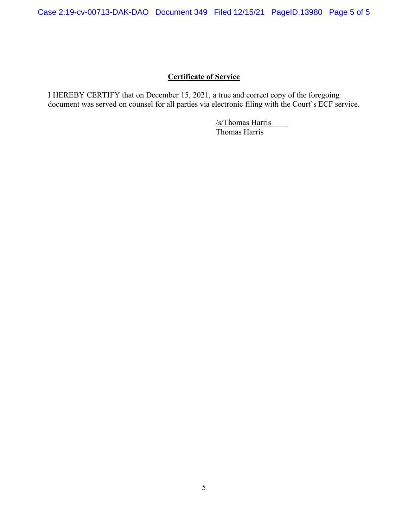## **Certificate of Service**

I HEREBY CERTIFY that on December 15, 2021, a true and correct copy of the foregoing document was served on counsel for all parties via electronic filing with the Court's ECF service.

> /s/Thomas Harris Thomas Harris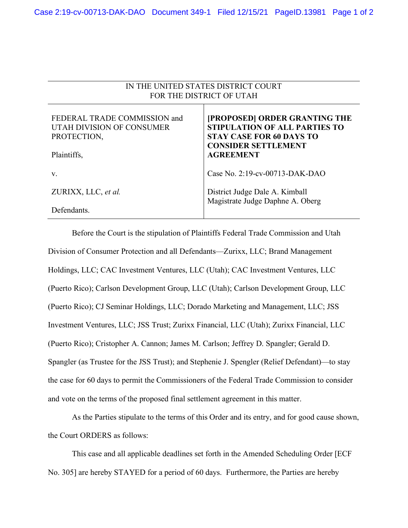| IN THE UNITED STATES DISTRICT COURT<br>FOR THE DISTRICT OF UTAH          |                                                                                                                                        |
|--------------------------------------------------------------------------|----------------------------------------------------------------------------------------------------------------------------------------|
| FEDERAL TRADE COMMISSION and<br>UTAH DIVISION OF CONSUMER<br>PROTECTION, | [PROPOSED] ORDER GRANTING THE<br><b>STIPULATION OF ALL PARTIES TO</b><br><b>STAY CASE FOR 60 DAYS TO</b><br><b>CONSIDER SETTLEMENT</b> |
| Plaintiffs,                                                              | <b>AGREEMENT</b>                                                                                                                       |
| V.                                                                       | Case No. 2:19-cv-00713-DAK-DAO                                                                                                         |
| ZURIXX, LLC, et al.                                                      | District Judge Dale A. Kimball<br>Magistrate Judge Daphne A. Oberg                                                                     |
| Defendants.                                                              |                                                                                                                                        |

Before the Court is the stipulation of Plaintiffs Federal Trade Commission and Utah Division of Consumer Protection and all Defendants—Zurixx, LLC; Brand Management Holdings, LLC; CAC Investment Ventures, LLC (Utah); CAC Investment Ventures, LLC (Puerto Rico); Carlson Development Group, LLC (Utah); Carlson Development Group, LLC (Puerto Rico); CJ Seminar Holdings, LLC; Dorado Marketing and Management, LLC; JSS Investment Ventures, LLC; JSS Trust; Zurixx Financial, LLC (Utah); Zurixx Financial, LLC (Puerto Rico); Cristopher A. Cannon; James M. Carlson; Jeffrey D. Spangler; Gerald D. Spangler (as Trustee for the JSS Trust); and Stephenie J. Spengler (Relief Defendant)—to stay the case for 60 days to permit the Commissioners of the Federal Trade Commission to consider and vote on the terms of the proposed final settlement agreement in this matter.

As the Parties stipulate to the terms of this Order and its entry, and for good cause shown, the Court ORDERS as follows:

This case and all applicable deadlines set forth in the Amended Scheduling Order [ECF No. 305] are hereby STAYED for a period of 60 days. Furthermore, the Parties are hereby